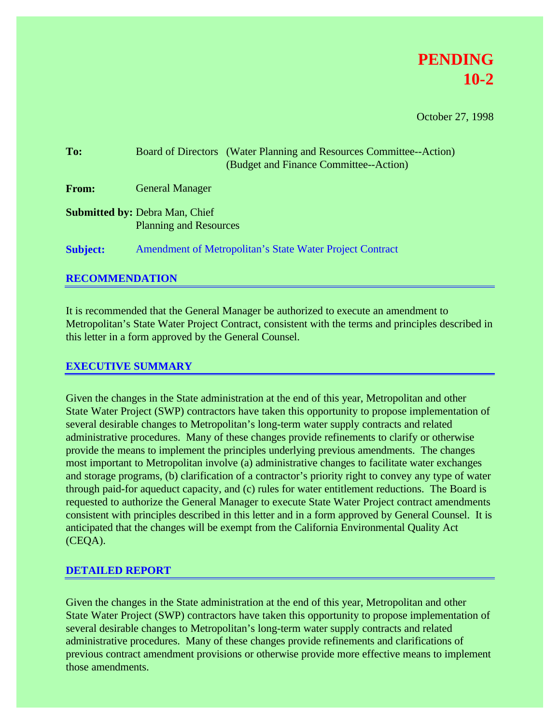

October 27, 1998

| To:             | Board of Directors (Water Planning and Resources Committee--Action)<br>(Budget and Finance Committee--Action) |
|-----------------|---------------------------------------------------------------------------------------------------------------|
| From:           | <b>General Manager</b>                                                                                        |
|                 | <b>Submitted by: Debra Man, Chief</b><br><b>Planning and Resources</b>                                        |
| <b>Subject:</b> | Amendment of Metropolitan's State Water Project Contract                                                      |

# **RECOMMENDATION**

It is recommended that the General Manager be authorized to execute an amendment to Metropolitan's State Water Project Contract, consistent with the terms and principles described in this letter in a form approved by the General Counsel.

## **EXECUTIVE SUMMARY**

Given the changes in the State administration at the end of this year, Metropolitan and other State Water Project (SWP) contractors have taken this opportunity to propose implementation of several desirable changes to Metropolitan's long-term water supply contracts and related administrative procedures. Many of these changes provide refinements to clarify or otherwise provide the means to implement the principles underlying previous amendments. The changes most important to Metropolitan involve (a) administrative changes to facilitate water exchanges and storage programs, (b) clarification of a contractor's priority right to convey any type of water through paid-for aqueduct capacity, and (c) rules for water entitlement reductions. The Board is requested to authorize the General Manager to execute State Water Project contract amendments consistent with principles described in this letter and in a form approved by General Counsel. It is anticipated that the changes will be exempt from the California Environmental Quality Act (CEQA).

## **DETAILED REPORT**

Given the changes in the State administration at the end of this year, Metropolitan and other State Water Project (SWP) contractors have taken this opportunity to propose implementation of several desirable changes to Metropolitan's long-term water supply contracts and related administrative procedures. Many of these changes provide refinements and clarifications of previous contract amendment provisions or otherwise provide more effective means to implement those amendments.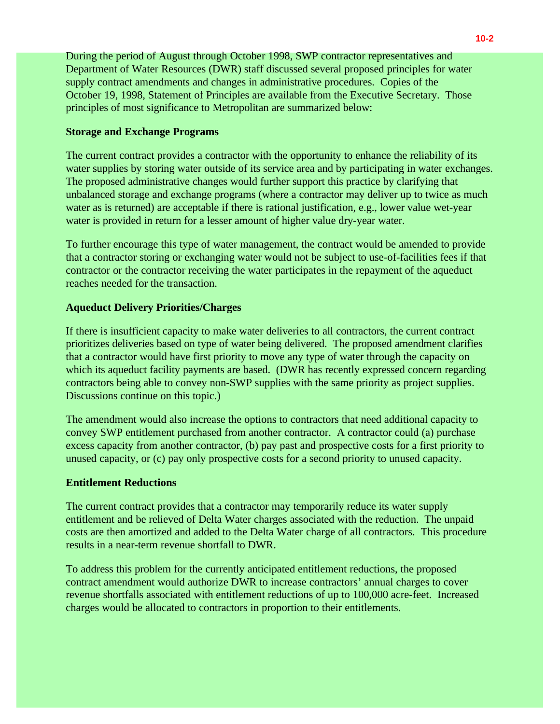During the period of August through October 1998, SWP contractor representatives and Department of Water Resources (DWR) staff discussed several proposed principles for water supply contract amendments and changes in administrative procedures. Copies of the October 19, 1998, Statement of Principles are available from the Executive Secretary. Those principles of most significance to Metropolitan are summarized below:

### **Storage and Exchange Programs**

The current contract provides a contractor with the opportunity to enhance the reliability of its water supplies by storing water outside of its service area and by participating in water exchanges. The proposed administrative changes would further support this practice by clarifying that unbalanced storage and exchange programs (where a contractor may deliver up to twice as much water as is returned) are acceptable if there is rational justification, e.g., lower value wet-year water is provided in return for a lesser amount of higher value dry-year water.

To further encourage this type of water management, the contract would be amended to provide that a contractor storing or exchanging water would not be subject to use-of-facilities fees if that contractor or the contractor receiving the water participates in the repayment of the aqueduct reaches needed for the transaction.

### **Aqueduct Delivery Priorities/Charges**

If there is insufficient capacity to make water deliveries to all contractors, the current contract prioritizes deliveries based on type of water being delivered. The proposed amendment clarifies that a contractor would have first priority to move any type of water through the capacity on which its aqueduct facility payments are based. (DWR has recently expressed concern regarding contractors being able to convey non-SWP supplies with the same priority as project supplies. Discussions continue on this topic.)

The amendment would also increase the options to contractors that need additional capacity to convey SWP entitlement purchased from another contractor. A contractor could (a) purchase excess capacity from another contractor, (b) pay past and prospective costs for a first priority to unused capacity, or (c) pay only prospective costs for a second priority to unused capacity.

## **Entitlement Reductions**

The current contract provides that a contractor may temporarily reduce its water supply entitlement and be relieved of Delta Water charges associated with the reduction. The unpaid costs are then amortized and added to the Delta Water charge of all contractors. This procedure results in a near-term revenue shortfall to DWR.

To address this problem for the currently anticipated entitlement reductions, the proposed contract amendment would authorize DWR to increase contractors' annual charges to cover revenue shortfalls associated with entitlement reductions of up to 100,000 acre-feet. Increased charges would be allocated to contractors in proportion to their entitlements.